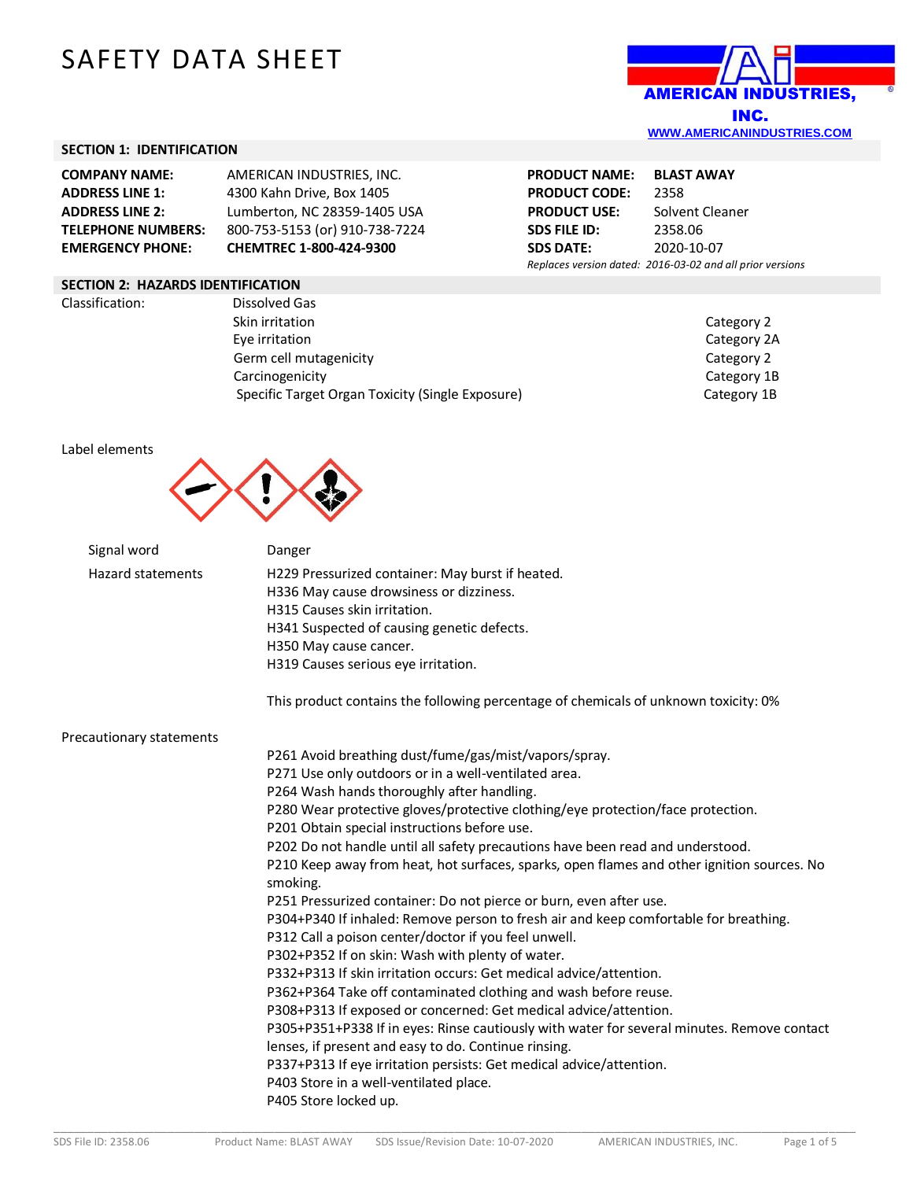# SAFETY DATA SHEET



# **SECTION 1: IDENTIFICATION**

| <b>COMPANY NAME:</b>      | AMERICAN INDUSTRIES, INC.      |
|---------------------------|--------------------------------|
| <b>ADDRESS LINE 1:</b>    | 4300 Kahn Drive, Box 1405      |
| <b>ADDRESS LINE 2:</b>    | Lumberton, NC 28359-1405 USA   |
| <b>TELEPHONE NUMBERS:</b> | 800-753-5153 (or) 910-738-7224 |
| <b>EMERGENCY PHONE:</b>   | CHEMTREC 1-800-424-9300        |

# **PRODUCT NAME: BLAST AWAY PRODUCT CODE:** 2358 **PRODUCT USE:** Solvent Cleaner<br>**SDS FILE ID:** 2358.06 **SDS FILE ID: SDS DATE:** 2020-10-07 *Replaces version dated: 2016-03-02 and all prior versions*

## **SECTION 2: HAZARDS IDENTIFICATION**

Classification: Dissolved Gas Skin irritation Category 2 Eye irritation Category 2A Germ cell mutagenicity and the control of the Category 2 Category 2 Carcinogenicity **Category 1B** Specific Target Organ Toxicity (Single Exposure) Category 1B

#### Label elements



| Signal word              | Danger                                                                                                 |
|--------------------------|--------------------------------------------------------------------------------------------------------|
| <b>Hazard statements</b> | H229 Pressurized container: May burst if heated.                                                       |
|                          | H336 May cause drowsiness or dizziness.                                                                |
|                          | H315 Causes skin irritation.                                                                           |
|                          | H341 Suspected of causing genetic defects.                                                             |
|                          | H350 May cause cancer.                                                                                 |
|                          | H319 Causes serious eye irritation.                                                                    |
|                          | This product contains the following percentage of chemicals of unknown toxicity: 0%                    |
| Precautionary statements |                                                                                                        |
|                          | P261 Avoid breathing dust/fume/gas/mist/vapors/spray.                                                  |
|                          | P271 Use only outdoors or in a well-ventilated area.                                                   |
|                          | P264 Wash hands thoroughly after handling.                                                             |
|                          | P280 Wear protective gloves/protective clothing/eye protection/face protection.                        |
|                          | P201 Obtain special instructions before use.                                                           |
|                          | P202 Do not handle until all safety precautions have been read and understood.                         |
|                          | P210 Keep away from heat, hot surfaces, sparks, open flames and other ignition sources. No<br>smoking. |
|                          | P251 Pressurized container: Do not pierce or burn, even after use.                                     |
|                          | P304+P340 If inhaled: Remove person to fresh air and keep comfortable for breathing.                   |
|                          | P312 Call a poison center/doctor if you feel unwell.                                                   |
|                          | P302+P352 If on skin: Wash with plenty of water.                                                       |
|                          | P332+P313 If skin irritation occurs: Get medical advice/attention.                                     |
|                          | P362+P364 Take off contaminated clothing and wash before reuse.                                        |
|                          | P308+P313 If exposed or concerned: Get medical advice/attention.                                       |
|                          | P305+P351+P338 If in eyes: Rinse cautiously with water for several minutes. Remove contact             |
|                          | lenses, if present and easy to do. Continue rinsing.                                                   |
|                          | P337+P313 If eye irritation persists: Get medical advice/attention.                                    |
|                          | P403 Store in a well-ventilated place.                                                                 |
|                          | P405 Store locked up.                                                                                  |
|                          |                                                                                                        |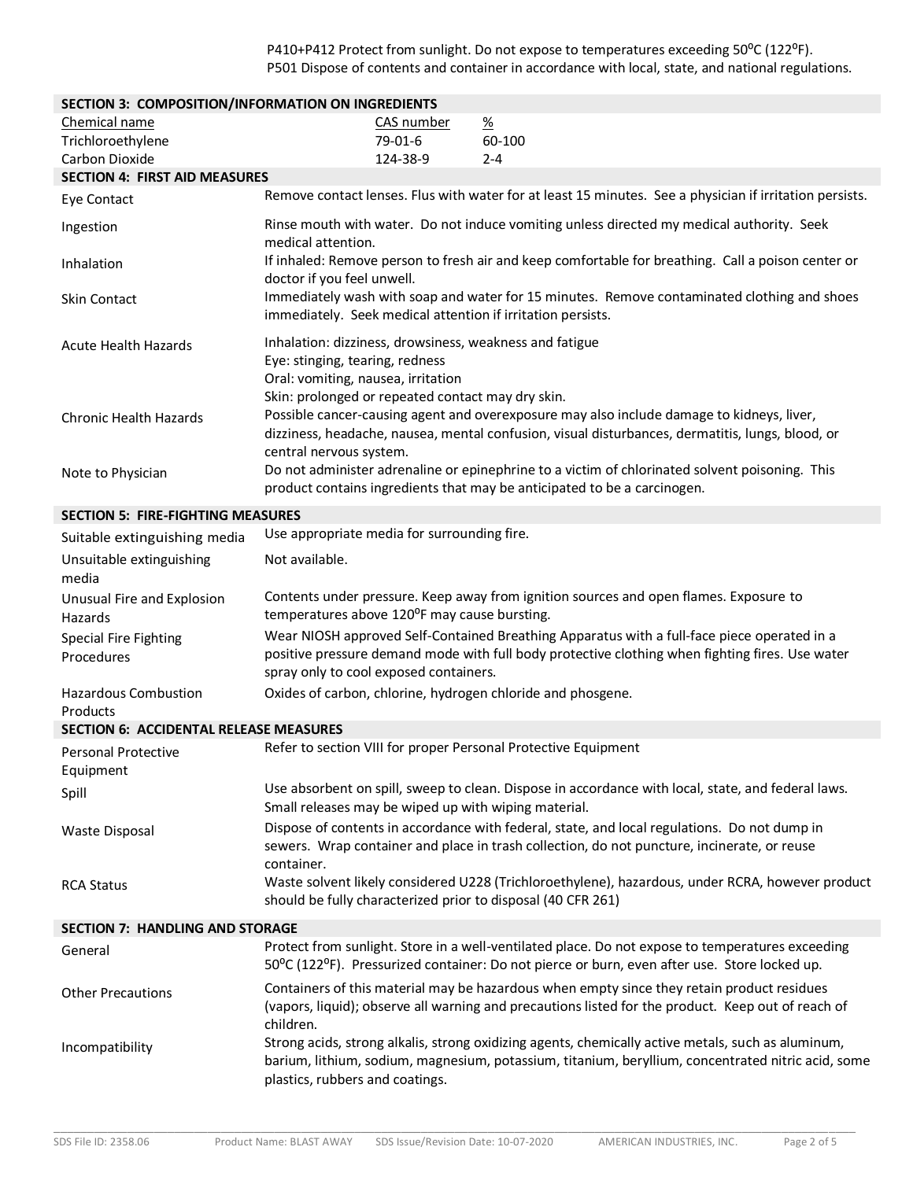P410+P412 Protect from sunlight. Do not expose to temperatures exceeding 50°C (122°F). P501 Dispose of contents and container in accordance with local, state, and national regulations.

| SECTION 3: COMPOSITION/INFORMATION ON INGREDIENTS |                                                                                                                                                                                                                          |            |                                                                          |                                                                                                                                                                                                          |
|---------------------------------------------------|--------------------------------------------------------------------------------------------------------------------------------------------------------------------------------------------------------------------------|------------|--------------------------------------------------------------------------|----------------------------------------------------------------------------------------------------------------------------------------------------------------------------------------------------------|
| Chemical name                                     |                                                                                                                                                                                                                          | CAS number | $\frac{\%}{\%}$                                                          |                                                                                                                                                                                                          |
| Trichloroethylene                                 |                                                                                                                                                                                                                          | 79-01-6    | 60-100                                                                   |                                                                                                                                                                                                          |
| Carbon Dioxide                                    |                                                                                                                                                                                                                          | 124-38-9   | $2 - 4$                                                                  |                                                                                                                                                                                                          |
| <b>SECTION 4: FIRST AID MEASURES</b>              |                                                                                                                                                                                                                          |            |                                                                          |                                                                                                                                                                                                          |
| Eye Contact                                       |                                                                                                                                                                                                                          |            |                                                                          | Remove contact lenses. Flus with water for at least 15 minutes. See a physician if irritation persists.                                                                                                  |
| Ingestion                                         | Rinse mouth with water. Do not induce vomiting unless directed my medical authority. Seek<br>medical attention.                                                                                                          |            |                                                                          |                                                                                                                                                                                                          |
| Inhalation                                        | If inhaled: Remove person to fresh air and keep comfortable for breathing. Call a poison center or<br>doctor if you feel unwell.                                                                                         |            |                                                                          |                                                                                                                                                                                                          |
| Skin Contact                                      | Immediately wash with soap and water for 15 minutes. Remove contaminated clothing and shoes<br>immediately. Seek medical attention if irritation persists.                                                               |            |                                                                          |                                                                                                                                                                                                          |
| <b>Acute Health Hazards</b>                       | Inhalation: dizziness, drowsiness, weakness and fatigue<br>Eye: stinging, tearing, redness<br>Oral: vomiting, nausea, irritation<br>Skin: prolonged or repeated contact may dry skin.                                    |            |                                                                          |                                                                                                                                                                                                          |
| <b>Chronic Health Hazards</b>                     | Possible cancer-causing agent and overexposure may also include damage to kidneys, liver,<br>dizziness, headache, nausea, mental confusion, visual disturbances, dermatitis, lungs, blood, or<br>central nervous system. |            |                                                                          |                                                                                                                                                                                                          |
| Note to Physician                                 |                                                                                                                                                                                                                          |            | product contains ingredients that may be anticipated to be a carcinogen. | Do not administer adrenaline or epinephrine to a victim of chlorinated solvent poisoning. This                                                                                                           |
| <b>SECTION 5: FIRE-FIGHTING MEASURES</b>          |                                                                                                                                                                                                                          |            |                                                                          |                                                                                                                                                                                                          |
| Suitable extinguishing media                      | Use appropriate media for surrounding fire.                                                                                                                                                                              |            |                                                                          |                                                                                                                                                                                                          |
| Unsuitable extinguishing<br>media                 | Not available.                                                                                                                                                                                                           |            |                                                                          |                                                                                                                                                                                                          |
| Unusual Fire and Explosion<br>Hazards             | temperatures above 120°F may cause bursting.                                                                                                                                                                             |            |                                                                          | Contents under pressure. Keep away from ignition sources and open flames. Exposure to                                                                                                                    |
| <b>Special Fire Fighting</b><br>Procedures        | spray only to cool exposed containers.                                                                                                                                                                                   |            |                                                                          | Wear NIOSH approved Self-Contained Breathing Apparatus with a full-face piece operated in a<br>positive pressure demand mode with full body protective clothing when fighting fires. Use water           |
| Hazardous Combustion<br>Products                  |                                                                                                                                                                                                                          |            | Oxides of carbon, chlorine, hydrogen chloride and phosgene.              |                                                                                                                                                                                                          |
| <b>SECTION 6: ACCIDENTAL RELEASE MEASURES</b>     |                                                                                                                                                                                                                          |            |                                                                          |                                                                                                                                                                                                          |
| <b>Personal Protective</b><br>Equipment           |                                                                                                                                                                                                                          |            | Refer to section VIII for proper Personal Protective Equipment           |                                                                                                                                                                                                          |
| Spill                                             | Small releases may be wiped up with wiping material.                                                                                                                                                                     |            |                                                                          | Use absorbent on spill, sweep to clean. Dispose in accordance with local, state, and federal laws.                                                                                                       |
| <b>Waste Disposal</b>                             | container.                                                                                                                                                                                                               |            |                                                                          | Dispose of contents in accordance with federal, state, and local regulations. Do not dump in<br>sewers. Wrap container and place in trash collection, do not puncture, incinerate, or reuse              |
| <b>RCA Status</b>                                 |                                                                                                                                                                                                                          |            | should be fully characterized prior to disposal (40 CFR 261)             | Waste solvent likely considered U228 (Trichloroethylene), hazardous, under RCRA, however product                                                                                                         |
| <b>SECTION 7: HANDLING AND STORAGE</b>            |                                                                                                                                                                                                                          |            |                                                                          |                                                                                                                                                                                                          |
| General                                           |                                                                                                                                                                                                                          |            |                                                                          | Protect from sunlight. Store in a well-ventilated place. Do not expose to temperatures exceeding<br>50°C (122°F). Pressurized container: Do not pierce or burn, even after use. Store locked up.         |
| <b>Other Precautions</b>                          | children.                                                                                                                                                                                                                |            |                                                                          | Containers of this material may be hazardous when empty since they retain product residues<br>(vapors, liquid); observe all warning and precautions listed for the product. Keep out of reach of         |
| Incompatibility                                   | plastics, rubbers and coatings.                                                                                                                                                                                          |            |                                                                          | Strong acids, strong alkalis, strong oxidizing agents, chemically active metals, such as aluminum,<br>barium, lithium, sodium, magnesium, potassium, titanium, beryllium, concentrated nitric acid, some |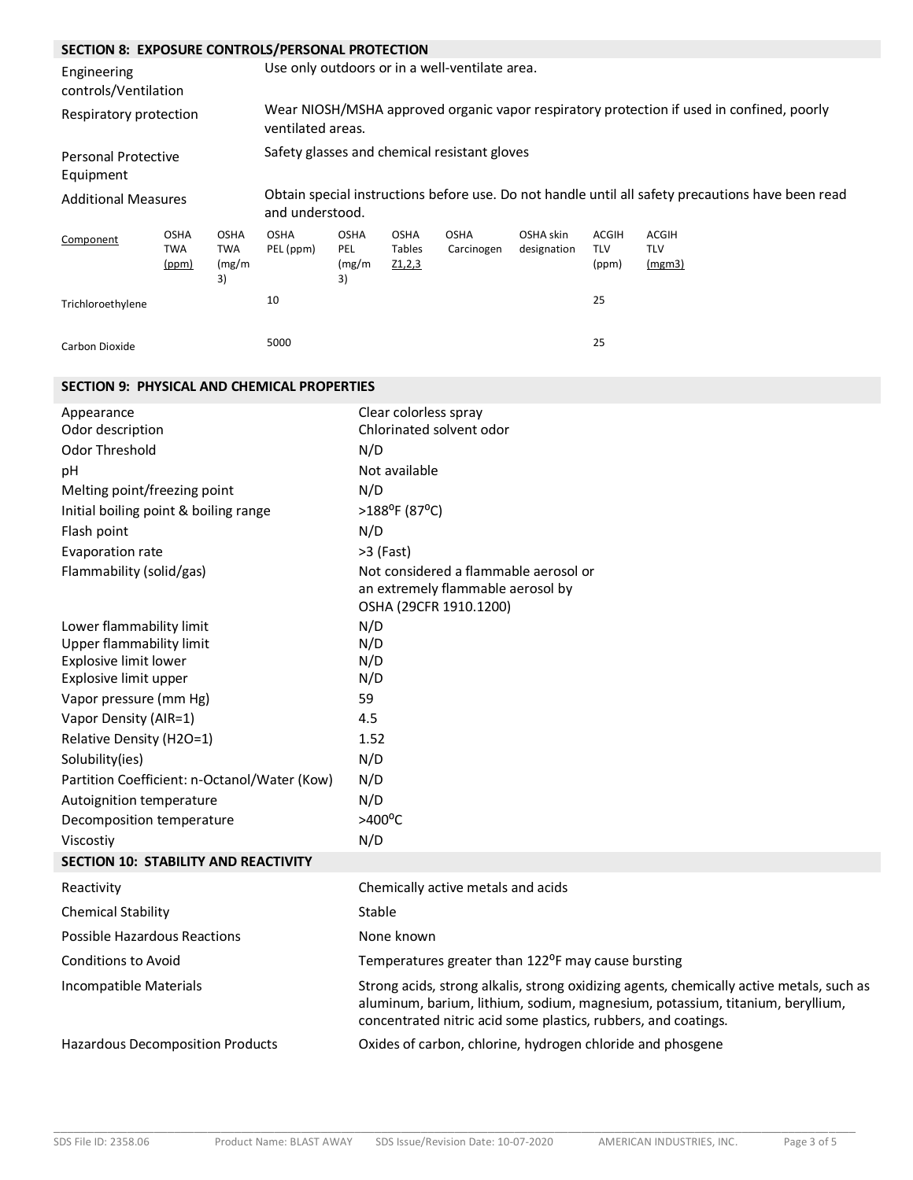# **SECTION 8: EXPOSURE CONTROLS/PERSONAL PROTECTION**

| SECTION 6. EAPOSUNE CUNTNULS/ FENSUNAL PNUTECTION |                                    |                                    |                                                                                                                      |                                    |                                 |                                              |                          |                              |                                      |
|---------------------------------------------------|------------------------------------|------------------------------------|----------------------------------------------------------------------------------------------------------------------|------------------------------------|---------------------------------|----------------------------------------------|--------------------------|------------------------------|--------------------------------------|
| Engineering<br>controls/Ventilation               |                                    |                                    | Use only outdoors or in a well-ventilate area.                                                                       |                                    |                                 |                                              |                          |                              |                                      |
| Respiratory protection                            |                                    |                                    | Wear NIOSH/MSHA approved organic vapor respiratory protection if used in confined, poorly<br>ventilated areas.       |                                    |                                 |                                              |                          |                              |                                      |
| <b>Personal Protective</b><br>Equipment           |                                    |                                    |                                                                                                                      |                                    |                                 | Safety glasses and chemical resistant gloves |                          |                              |                                      |
| <b>Additional Measures</b>                        |                                    |                                    | Obtain special instructions before use. Do not handle until all safety precautions have been read<br>and understood. |                                    |                                 |                                              |                          |                              |                                      |
| Component                                         | <b>OSHA</b><br><b>TWA</b><br>(ppm) | <b>OSHA</b><br>TWA<br>(mg/m)<br>3) | <b>OSHA</b><br>PEL (ppm)                                                                                             | <b>OSHA</b><br>PEL<br>(mg/m)<br>3) | <b>OSHA</b><br>Tables<br>Z1,2,3 | <b>OSHA</b><br>Carcinogen                    | OSHA skin<br>designation | ACGIH<br><b>TLV</b><br>(ppm) | <b>ACGIH</b><br><b>TLV</b><br>(mgm3) |
| Trichloroethylene                                 |                                    |                                    | 10                                                                                                                   |                                    |                                 |                                              |                          | 25                           |                                      |
| Carbon Dioxide                                    |                                    |                                    | 5000                                                                                                                 |                                    |                                 |                                              |                          | 25                           |                                      |

# **SECTION 9: PHYSICAL AND CHEMICAL PROPERTIES**

| Appearance                                   | Clear colorless spray                                                                                                                                                                                                                       |
|----------------------------------------------|---------------------------------------------------------------------------------------------------------------------------------------------------------------------------------------------------------------------------------------------|
| Odor description                             | Chlorinated solvent odor                                                                                                                                                                                                                    |
| Odor Threshold                               | N/D                                                                                                                                                                                                                                         |
| pH                                           | Not available                                                                                                                                                                                                                               |
| Melting point/freezing point                 | N/D                                                                                                                                                                                                                                         |
| Initial boiling point & boiling range        | >188°F (87°C)                                                                                                                                                                                                                               |
| Flash point                                  | N/D                                                                                                                                                                                                                                         |
| Evaporation rate                             | >3 (Fast)                                                                                                                                                                                                                                   |
| Flammability (solid/gas)                     | Not considered a flammable aerosol or<br>an extremely flammable aerosol by<br>OSHA (29CFR 1910.1200)                                                                                                                                        |
| Lower flammability limit                     | N/D                                                                                                                                                                                                                                         |
| Upper flammability limit                     | N/D                                                                                                                                                                                                                                         |
| Explosive limit lower                        | N/D                                                                                                                                                                                                                                         |
| Explosive limit upper                        | N/D                                                                                                                                                                                                                                         |
| Vapor pressure (mm Hg)                       | 59                                                                                                                                                                                                                                          |
| Vapor Density (AIR=1)                        | 4.5                                                                                                                                                                                                                                         |
| Relative Density (H2O=1)                     | 1.52                                                                                                                                                                                                                                        |
| Solubility(ies)                              | N/D                                                                                                                                                                                                                                         |
| Partition Coefficient: n-Octanol/Water (Kow) | N/D                                                                                                                                                                                                                                         |
| Autoignition temperature                     | N/D                                                                                                                                                                                                                                         |
| Decomposition temperature                    | $>400^{\circ}$ C                                                                                                                                                                                                                            |
| Viscostiv                                    | N/D                                                                                                                                                                                                                                         |
| SECTION 10: STABILITY AND REACTIVITY         |                                                                                                                                                                                                                                             |
| Reactivity                                   | Chemically active metals and acids                                                                                                                                                                                                          |
| <b>Chemical Stability</b>                    | Stable                                                                                                                                                                                                                                      |
| <b>Possible Hazardous Reactions</b>          | None known                                                                                                                                                                                                                                  |
| <b>Conditions to Avoid</b>                   | Temperatures greater than 122 <sup>o</sup> F may cause bursting                                                                                                                                                                             |
| Incompatible Materials                       | Strong acids, strong alkalis, strong oxidizing agents, chemically active metals, such as<br>aluminum, barium, lithium, sodium, magnesium, potassium, titanium, beryllium,<br>concentrated nitric acid some plastics, rubbers, and coatings. |
| Hazardous Decomposition Products             | Oxides of carbon, chlorine, hydrogen chloride and phosgene                                                                                                                                                                                  |

\_\_\_\_\_\_\_\_\_\_\_\_\_\_\_\_\_\_\_\_\_\_\_\_\_\_\_\_\_\_\_\_\_\_\_\_\_\_\_\_\_\_\_\_\_\_\_\_\_\_\_\_\_\_\_\_\_\_\_\_\_\_\_\_\_\_\_\_\_\_\_\_\_\_\_\_\_\_\_\_\_\_\_\_\_\_\_\_\_\_\_\_\_\_\_\_\_\_\_\_\_\_\_\_\_\_\_\_\_\_\_\_\_\_\_\_\_\_\_\_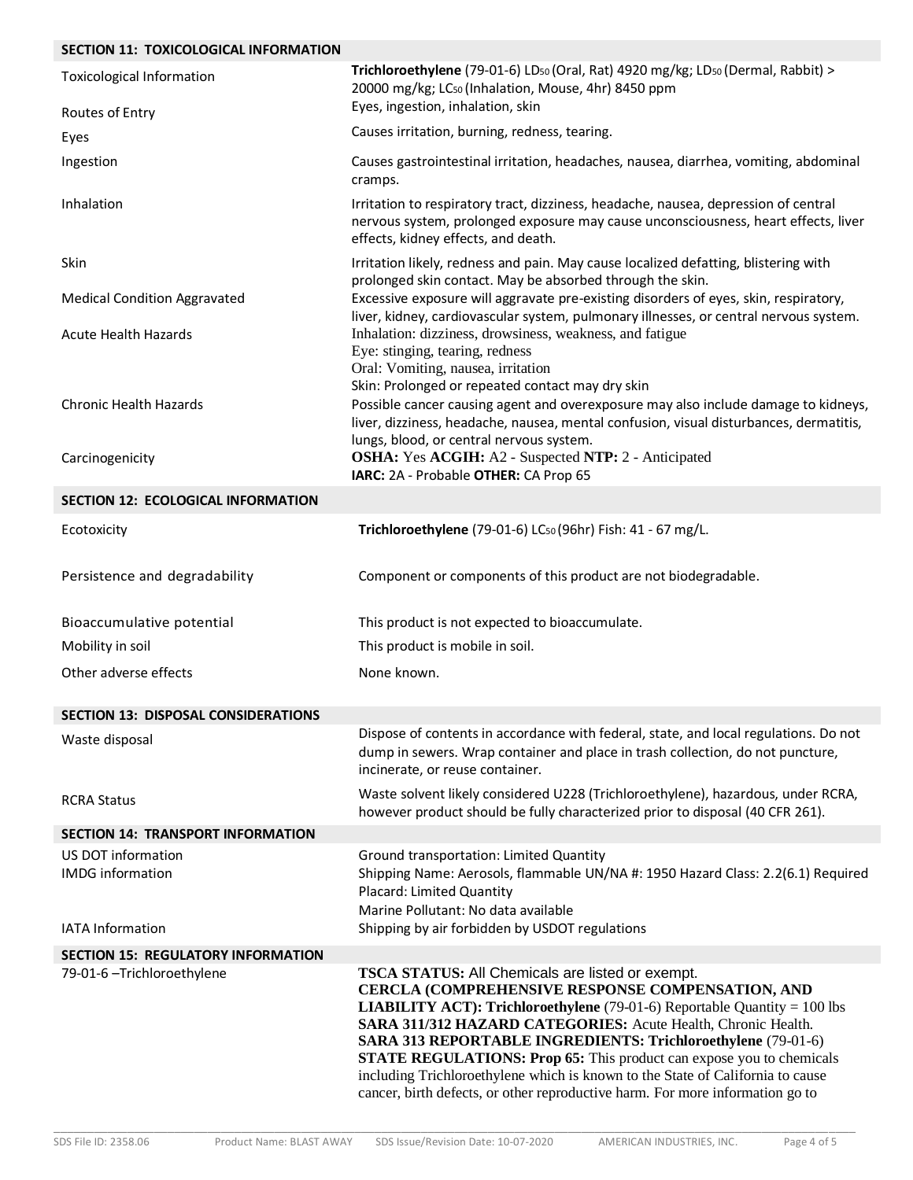# **SECTION 11: TOXICOLOGICAL INFORMATION**

| <b>Toxicological Information</b>              | Trichloroethylene (79-01-6) LD <sub>50</sub> (Oral, Rat) 4920 mg/kg; LD <sub>50</sub> (Dermal, Rabbit) ><br>20000 mg/kg; LC <sub>50</sub> (Inhalation, Mouse, 4hr) 8450 ppm<br>Eyes, ingestion, inhalation, skin                                                                                                                                                                                                                                                                                                                                                                                 |
|-----------------------------------------------|--------------------------------------------------------------------------------------------------------------------------------------------------------------------------------------------------------------------------------------------------------------------------------------------------------------------------------------------------------------------------------------------------------------------------------------------------------------------------------------------------------------------------------------------------------------------------------------------------|
| Routes of Entry                               | Causes irritation, burning, redness, tearing.                                                                                                                                                                                                                                                                                                                                                                                                                                                                                                                                                    |
| Eyes                                          |                                                                                                                                                                                                                                                                                                                                                                                                                                                                                                                                                                                                  |
| Ingestion                                     | Causes gastrointestinal irritation, headaches, nausea, diarrhea, vomiting, abdominal<br>cramps.                                                                                                                                                                                                                                                                                                                                                                                                                                                                                                  |
| Inhalation                                    | Irritation to respiratory tract, dizziness, headache, nausea, depression of central<br>nervous system, prolonged exposure may cause unconsciousness, heart effects, liver<br>effects, kidney effects, and death.                                                                                                                                                                                                                                                                                                                                                                                 |
| Skin                                          | Irritation likely, redness and pain. May cause localized defatting, blistering with<br>prolonged skin contact. May be absorbed through the skin.                                                                                                                                                                                                                                                                                                                                                                                                                                                 |
| <b>Medical Condition Aggravated</b>           | Excessive exposure will aggravate pre-existing disorders of eyes, skin, respiratory,<br>liver, kidney, cardiovascular system, pulmonary illnesses, or central nervous system.                                                                                                                                                                                                                                                                                                                                                                                                                    |
| <b>Acute Health Hazards</b>                   | Inhalation: dizziness, drowsiness, weakness, and fatigue<br>Eye: stinging, tearing, redness<br>Oral: Vomiting, nausea, irritation                                                                                                                                                                                                                                                                                                                                                                                                                                                                |
| <b>Chronic Health Hazards</b>                 | Skin: Prolonged or repeated contact may dry skin<br>Possible cancer causing agent and overexposure may also include damage to kidneys,<br>liver, dizziness, headache, nausea, mental confusion, visual disturbances, dermatitis,<br>lungs, blood, or central nervous system.                                                                                                                                                                                                                                                                                                                     |
| Carcinogenicity                               | <b>OSHA:</b> Yes ACGIH: A2 - Suspected NTP: 2 - Anticipated<br>IARC: 2A - Probable OTHER: CA Prop 65                                                                                                                                                                                                                                                                                                                                                                                                                                                                                             |
| <b>SECTION 12: ECOLOGICAL INFORMATION</b>     |                                                                                                                                                                                                                                                                                                                                                                                                                                                                                                                                                                                                  |
| Ecotoxicity                                   | Trichloroethylene (79-01-6) LC <sub>50</sub> (96hr) Fish: 41 - 67 mg/L.                                                                                                                                                                                                                                                                                                                                                                                                                                                                                                                          |
| Persistence and degradability                 | Component or components of this product are not biodegradable.                                                                                                                                                                                                                                                                                                                                                                                                                                                                                                                                   |
| Bioaccumulative potential                     | This product is not expected to bioaccumulate.                                                                                                                                                                                                                                                                                                                                                                                                                                                                                                                                                   |
| Mobility in soil                              | This product is mobile in soil.                                                                                                                                                                                                                                                                                                                                                                                                                                                                                                                                                                  |
| Other adverse effects                         | None known.                                                                                                                                                                                                                                                                                                                                                                                                                                                                                                                                                                                      |
| <b>SECTION 13: DISPOSAL CONSIDERATIONS</b>    |                                                                                                                                                                                                                                                                                                                                                                                                                                                                                                                                                                                                  |
| Waste disposal                                | Dispose of contents in accordance with federal, state, and local regulations. Do not<br>dump in sewers. Wrap container and place in trash collection, do not puncture,<br>incinerate, or reuse container.                                                                                                                                                                                                                                                                                                                                                                                        |
| <b>RCRA Status</b>                            | Waste solvent likely considered U228 (Trichloroethylene), hazardous, under RCRA,<br>however product should be fully characterized prior to disposal (40 CFR 261).                                                                                                                                                                                                                                                                                                                                                                                                                                |
| <b>SECTION 14: TRANSPORT INFORMATION</b>      |                                                                                                                                                                                                                                                                                                                                                                                                                                                                                                                                                                                                  |
| US DOT information<br><b>IMDG</b> information | Ground transportation: Limited Quantity<br>Shipping Name: Aerosols, flammable UN/NA #: 1950 Hazard Class: 2.2(6.1) Required<br><b>Placard: Limited Quantity</b><br>Marine Pollutant: No data available                                                                                                                                                                                                                                                                                                                                                                                           |
| <b>IATA Information</b>                       | Shipping by air forbidden by USDOT regulations                                                                                                                                                                                                                                                                                                                                                                                                                                                                                                                                                   |
| <b>SECTION 15: REGULATORY INFORMATION</b>     |                                                                                                                                                                                                                                                                                                                                                                                                                                                                                                                                                                                                  |
| 79-01-6 - Trichloroethylene                   | <b>TSCA STATUS:</b> All Chemicals are listed or exempt.<br><b>CERCLA (COMPREHENSIVE RESPONSE COMPENSATION, AND</b><br><b>LIABILITY ACT): Trichloroethylene</b> (79-01-6) Reportable Quantity = 100 lbs<br>SARA 311/312 HAZARD CATEGORIES: Acute Health, Chronic Health.<br><b>SARA 313 REPORTABLE INGREDIENTS: Trichloroethylene</b> (79-01-6)<br><b>STATE REGULATIONS: Prop 65:</b> This product can expose you to chemicals<br>including Trichloroethylene which is known to the State of California to cause<br>cancer, birth defects, or other reproductive harm. For more information go to |

\_\_\_\_\_\_\_\_\_\_\_\_\_\_\_\_\_\_\_\_\_\_\_\_\_\_\_\_\_\_\_\_\_\_\_\_\_\_\_\_\_\_\_\_\_\_\_\_\_\_\_\_\_\_\_\_\_\_\_\_\_\_\_\_\_\_\_\_\_\_\_\_\_\_\_\_\_\_\_\_\_\_\_\_\_\_\_\_\_\_\_\_\_\_\_\_\_\_\_\_\_\_\_\_\_\_\_\_\_\_\_\_\_\_\_\_\_\_\_\_